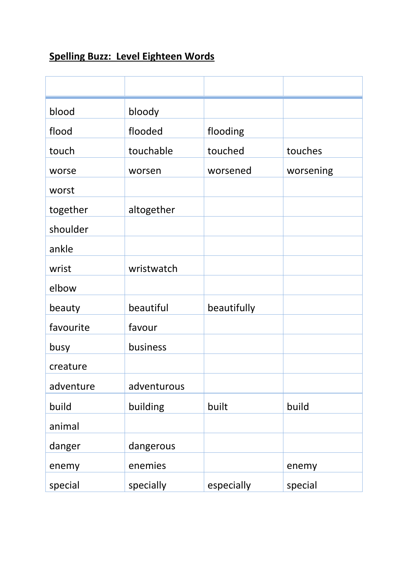## **Spelling Buzz: Level Eighteen Words**

| blood     | bloody      |             |           |
|-----------|-------------|-------------|-----------|
| flood     | flooded     | flooding    |           |
| touch     | touchable   | touched     | touches   |
| worse     | worsen      | worsened    | worsening |
| worst     |             |             |           |
| together  | altogether  |             |           |
| shoulder  |             |             |           |
| ankle     |             |             |           |
| wrist     | wristwatch  |             |           |
| elbow     |             |             |           |
| beauty    | beautiful   | beautifully |           |
| favourite | favour      |             |           |
| busy      | business    |             |           |
| creature  |             |             |           |
| adventure | adventurous |             |           |
| build     | building    | built       | build     |
| animal    |             |             |           |
| danger    | dangerous   |             |           |
| enemy     | enemies     |             | enemy     |
| special   | specially   | especially  | special   |